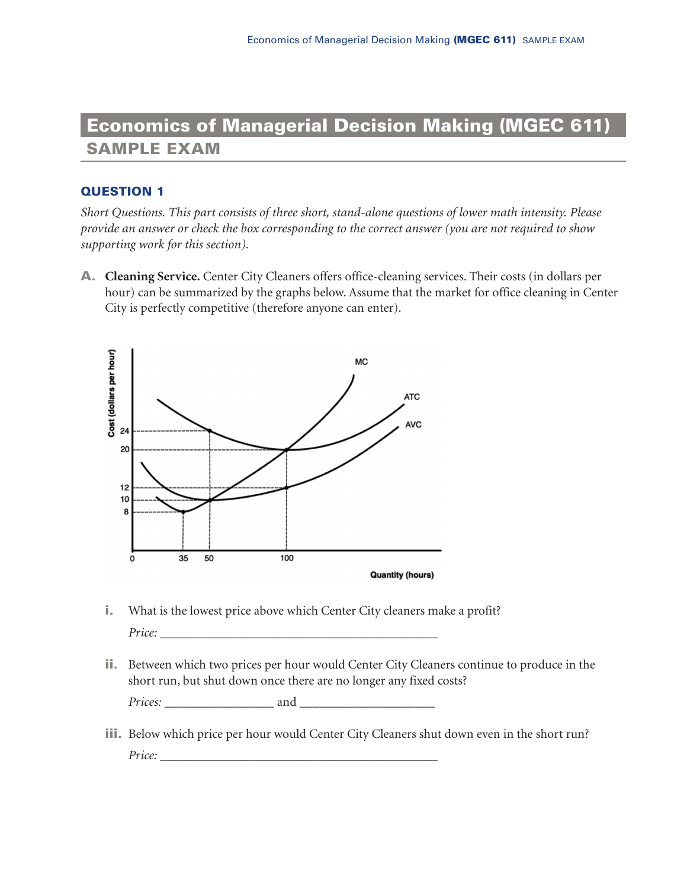# **Economics of Managerial Decision Making (MGEC 611) SAMPLE EXAM**

## **QUESTION 1**

*Short Questions. This part consists of three short, stand-alone questions of lower math intensity. Please provide an answer or check the box corresponding to the correct answer (you are not required to show supporting work for this section).* 

**A. Cleaning Service.** Center City Cleaners offers office-cleaning services. Their costs (in dollars per hour) can be summarized by the graphs below. Assume that the market for office cleaning in Center City is perfectly competitive (therefore anyone can enter).



- **i.** What is the lowest price above which Center City cleaners make a profit? *Price:* \_\_\_\_\_\_\_\_\_\_\_\_\_\_\_\_\_\_\_\_\_\_\_\_\_\_\_\_\_\_\_\_\_\_\_\_\_\_\_\_\_\_\_
- **ii.** Between which two prices per hour would Center City Cleaners continue to produce in the short run, but shut down once there are no longer any fixed costs?

*Prices:* \_\_\_\_\_\_\_\_\_\_\_\_\_\_\_\_\_ and \_\_\_\_\_\_\_\_\_\_\_\_\_\_\_\_\_\_\_\_\_

**iii.** Below which price per hour would Center City Cleaners shut down even in the short run? *Price:* \_\_\_\_\_\_\_\_\_\_\_\_\_\_\_\_\_\_\_\_\_\_\_\_\_\_\_\_\_\_\_\_\_\_\_\_\_\_\_\_\_\_\_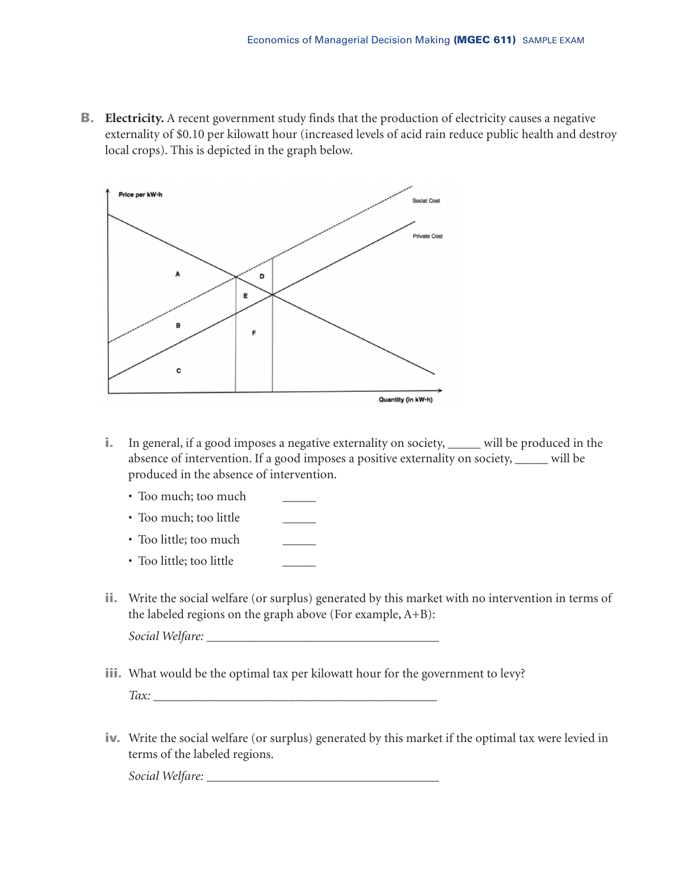**B. Electricity.** A recent government study finds that the production of electricity causes a negative externality of \$0.10 per kilowatt hour (increased levels of acid rain reduce public health and destroy local crops). This is depicted in the graph below.



- **i.** In general, if a good imposes a negative externality on society, *\_\_\_\_\_* will be produced in the absence of intervention. If a good imposes a positive externality on society, *\_\_\_\_\_* will be produced in the absence of intervention.
	- Too much; too much *\_\_\_\_\_*
	- Too much; too little *\_\_\_\_\_*
	- Too little; too much *\_\_\_\_\_*
	- Too little; too little *\_\_\_\_\_*
- **ii.** Write the social welfare (or surplus) generated by this market with no intervention in terms of the labeled regions on the graph above (For example, A+B): *Social Welfare:* \_\_\_\_\_\_\_\_\_\_\_\_\_\_\_\_\_\_\_\_\_\_\_\_\_\_\_\_\_\_\_\_\_\_\_\_
- **iii.** What would be the optimal tax per kilowatt hour for the government to levy? *Tax:* \_\_\_\_\_\_\_\_\_\_\_\_\_\_\_\_\_\_\_\_\_\_\_\_\_\_\_\_\_\_\_\_\_\_\_\_\_\_\_\_\_\_\_\_
- **iv.** Write the social welfare (or surplus) generated by this market if the optimal tax were levied in terms of the labeled regions.

*Social Welfare:* \_\_\_\_\_\_\_\_\_\_\_\_\_\_\_\_\_\_\_\_\_\_\_\_\_\_\_\_\_\_\_\_\_\_\_\_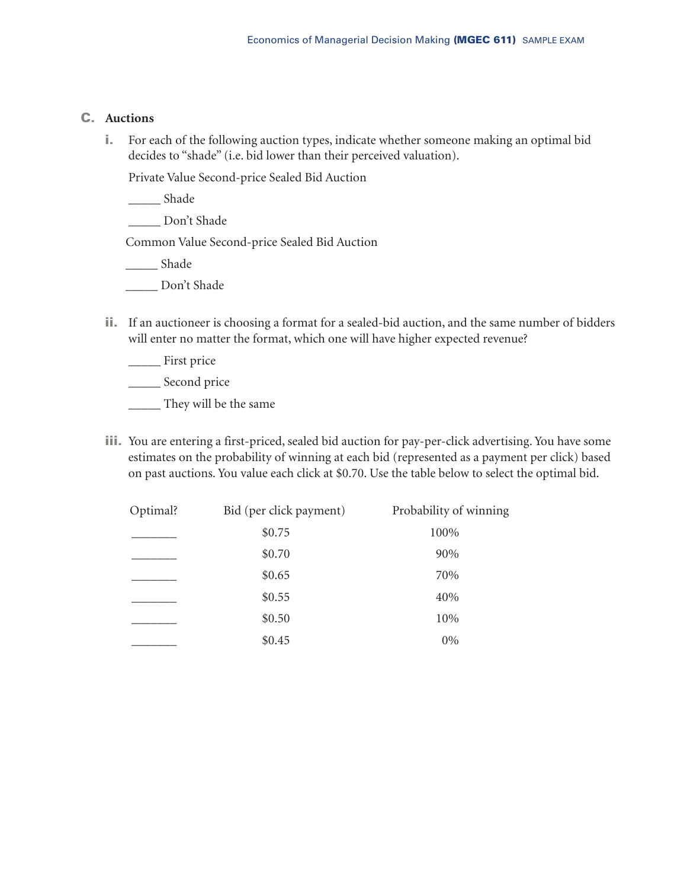### **C. Auctions**

**i.** For each of the following auction types, indicate whether someone making an optimal bid decides to "shade" (i.e. bid lower than their perceived valuation).

Private Value Second-price Sealed Bid Auction

\_\_\_\_\_ Shade

\_\_\_\_\_ Don't Shade

Common Value Second-price Sealed Bid Auction

\_\_\_\_\_ Shade

- Don't Shade
- **ii.** If an auctioneer is choosing a format for a sealed-bid auction, and the same number of bidders will enter no matter the format, which one will have higher expected revenue?

\_\_\_\_\_ First price

\_\_\_\_\_ Second price

\_\_\_\_\_ They will be the same

**iii.** You are entering a first-priced, sealed bid auction for pay-per-click advertising. You have some estimates on the probability of winning at each bid (represented as a payment per click) based on past auctions. You value each click at \$0.70. Use the table below to select the optimal bid.

| Optimal? | Bid (per click payment) | Probability of winning |
|----------|-------------------------|------------------------|
|          | \$0.75                  | 100%                   |
|          | \$0.70                  | 90%                    |
|          | \$0.65                  | 70%                    |
|          | \$0.55                  | 40%                    |
|          | \$0.50                  | 10%                    |
|          | \$0.45                  | $0\%$                  |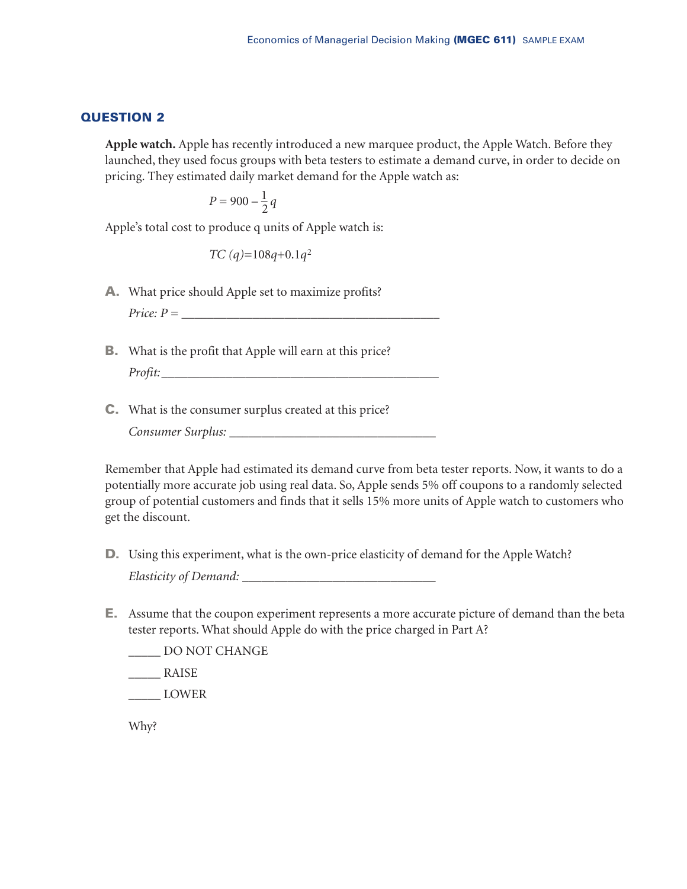**Apple watch.** Apple has recently introduced a new marquee product, the Apple Watch. Before they launched, they used focus groups with beta testers to estimate a demand curve, in order to decide on pricing. They estimated daily market demand for the Apple watch as:

$$
P=900-\frac{1}{2}q
$$

Apple's total cost to produce q units of Apple watch is:

*TC (q)*=108*q*+0.1*q*<sup>2</sup>

**A.** What price should Apple set to maximize profits?

 $Price: P =$ 

- **B.** What is the profit that Apple will earn at this price? *Profit:*\_\_\_\_\_\_\_\_\_\_\_\_\_\_\_\_\_\_\_\_\_\_\_\_\_\_\_\_\_\_\_\_\_\_\_\_\_\_\_\_\_\_\_
- **C.** What is the consumer surplus created at this price?

*Consumer Surplus:* \_\_\_\_\_\_\_\_\_\_\_\_\_\_\_\_\_\_\_\_\_\_\_\_\_\_\_\_\_\_\_\_

Remember that Apple had estimated its demand curve from beta tester reports. Now, it wants to do a potentially more accurate job using real data. So, Apple sends 5% off coupons to a randomly selected group of potential customers and finds that it sells 15% more units of Apple watch to customers who get the discount.

- **D.** Using this experiment, what is the own-price elasticity of demand for the Apple Watch? *Elasticity of Demand:* \_\_\_\_\_\_\_\_\_\_\_\_\_\_\_\_\_\_\_\_\_\_\_\_\_\_\_\_\_\_
- **E.** Assume that the coupon experiment represents a more accurate picture of demand than the beta tester reports. What should Apple do with the price charged in Part A?

LOO NOT CHANGE

\_\_\_\_\_ RAISE

\_\_\_\_\_ LOWER

Why?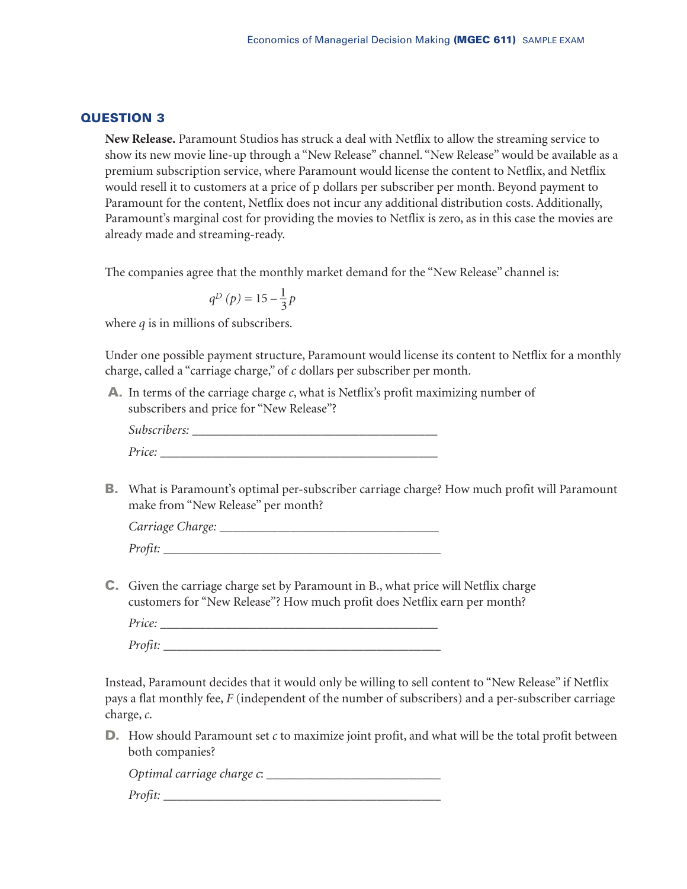**New Release.** Paramount Studios has struck a deal with Netflix to allow the streaming service to show its new movie line-up through a "New Release" channel. "New Release" would be available as a premium subscription service, where Paramount would license the content to Netflix, and Netflix would resell it to customers at a price of p dollars per subscriber per month. Beyond payment to Paramount for the content, Netflix does not incur any additional distribution costs. Additionally, Paramount's marginal cost for providing the movies to Netflix is zero, as in this case the movies are already made and streaming-ready.

The companies agree that the monthly market demand for the "New Release" channel is:

$$
q^{D}\left( p\right) =15-\frac{1}{3}p
$$

where *q* is in millions of subscribers.

Under one possible payment structure, Paramount would license its content to Netflix for a monthly charge, called a "carriage charge," of *c* dollars per subscriber per month.

**A.** In terms of the carriage charge *c*, what is Netflix's profit maximizing number of subscribers and price for "New Release"?

| $\cdot$ $\cdot$<br>Subscribers: |  |  |
|---------------------------------|--|--|
| Price:                          |  |  |

**B.** What is Paramount's optimal per-subscriber carriage charge? How much profit will Paramount make from "New Release" per month?

| Carriage Charge: |  |
|------------------|--|
| Profit:          |  |

**C.** Given the carriage charge set by Paramount in B., what price will Netflix charge customers for "New Release"? How much profit does Netflix earn per month?

| Price:  |  |  |
|---------|--|--|
| Profit: |  |  |

Instead, Paramount decides that it would only be willing to sell content to "New Release" if Netflix pays a flat monthly fee, *F* (independent of the number of subscribers) and a per-subscriber carriage charge, *c*.

**D.** How should Paramount set *c* to maximize joint profit, and what will be the total profit between both companies?

*Optimal carriage charge c*: \_\_\_\_\_\_\_\_\_\_\_\_\_\_\_\_\_\_\_\_\_\_\_\_\_\_\_ *Profit:*  $\frac{1}{2}$  *Profit:*  $\frac{1}{2}$  *Profit:*  $\frac{1}{2}$  *Profit:*  $\frac{1}{2}$  *Profit:*  $\frac{1}{2}$  *Profit:*  $\frac{1}{2}$  *Profit:* $\frac{1}{2}$ *Profit:* $\frac{1}{2}$ *Profit:* $\frac{1}{2}$ *Profit:* $\frac{1}{2}$ *Profit:*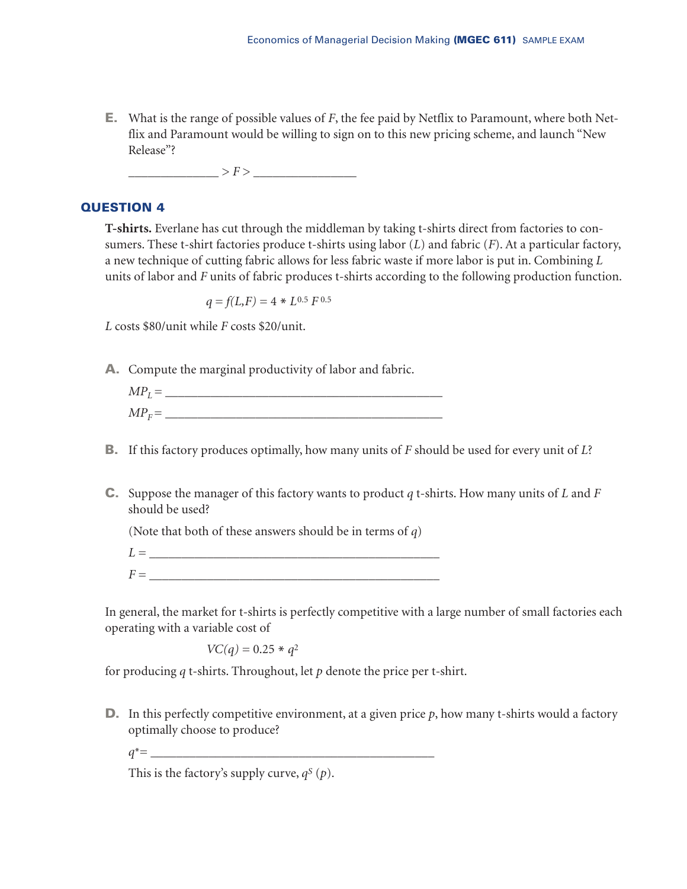**E.** What is the range of possible values of *F*, the fee paid by Netflix to Paramount, where both Netflix and Paramount would be willing to sign on to this new pricing scheme, and launch "New Release"?

\_\_\_\_\_\_\_\_\_\_\_\_\_\_ > *F* > \_\_\_\_\_\_\_\_\_\_\_\_\_\_\_\_

### **QUESTION 4**

**T-shirts.** Everlane has cut through the middleman by taking t-shirts direct from factories to consumers. These t-shirt factories produce t-shirts using labor (*L*) and fabric (*F*). At a particular factory, a new technique of cutting fabric allows for less fabric waste if more labor is put in. Combining *L* units of labor and *F* units of fabric produces t-shirts according to the following production function.

$$
q = f(L, F) = 4 * L^{0.5} F^{0.5}
$$

*L* costs \$80/unit while *F* costs \$20/unit.

**A.** Compute the marginal productivity of labor and fabric.

| $MPr =$<br>┻ |  |  |  |
|--------------|--|--|--|
| $MP_F =$     |  |  |  |

- **B.** If this factory produces optimally, how many units of *F* should be used for every unit of *L*?
- **C.** Suppose the manager of this factory wants to product *q* t-shirts. How many units of *L* and *F* should be used?

(Note that both of these answers should be in terms of *q*)

 $L =$  $F =$ 

In general, the market for t-shirts is perfectly competitive with a large number of small factories each operating with a variable cost of

*VC(q)* =  $0.25 * q^2$ 

for producing *q* t-shirts. Throughout, let *p* denote the price per t-shirt.

**D.** In this perfectly competitive environment, at a given price  $p$ , how many t-shirts would a factory optimally choose to produce?

$$
q^* = \underbrace{\qquad \qquad }
$$

This is the factory's supply curve,  $q^S(p)$ .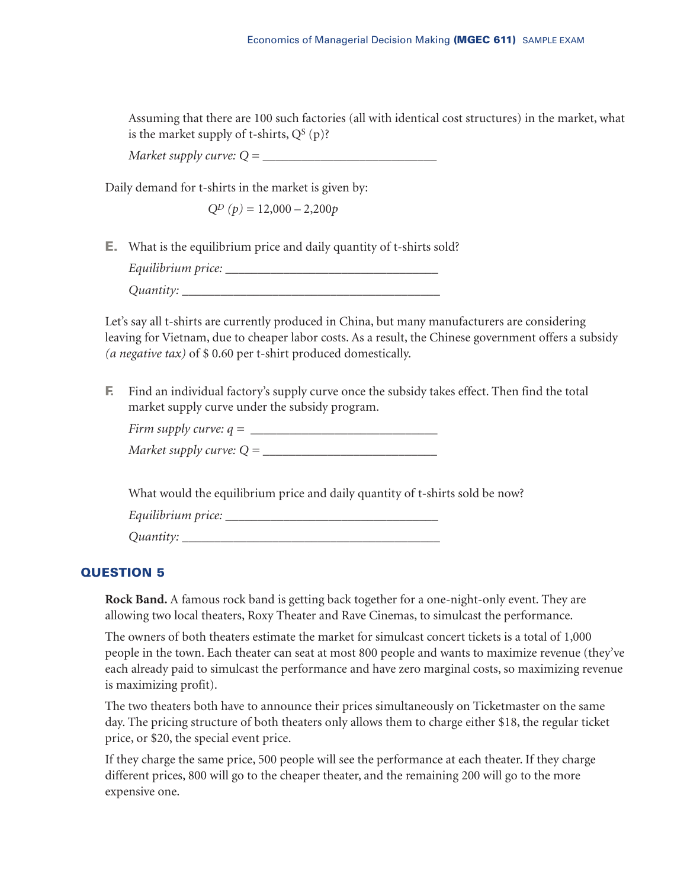Assuming that there are 100 such factories (all with identical cost structures) in the market, what is the market supply of t-shirts,  $Q^s(p)$ ?

*Market supply curve: Q =* 

Daily demand for t-shirts in the market is given by:

 $Q^D(p) = 12,000 - 2,200p$ 

**E.** What is the equilibrium price and daily quantity of t-shirts sold?

*Equilibrium price:* \_\_\_\_\_\_\_\_\_\_\_\_\_\_\_\_\_\_\_\_\_\_\_\_\_\_\_\_\_\_\_\_\_ *Quantity:* \_\_\_\_\_\_\_\_\_\_\_\_\_\_\_\_\_\_\_\_\_\_\_\_\_\_\_\_\_\_\_\_\_\_\_\_\_\_\_\_

Let's say all t-shirts are currently produced in China, but many manufacturers are considering leaving for Vietnam, due to cheaper labor costs. As a result, the Chinese government offers a subsidy *(a negative tax)* of \$ 0.60 per t-shirt produced domestically.

**F.** Find an individual factory's supply curve once the subsidy takes effect. Then find the total market supply curve under the subsidy program.

| Firm supply curve: $q =$   |  |
|----------------------------|--|
| Market supply curve: $Q =$ |  |

What would the equilibrium price and daily quantity of t-shirts sold be now?

*Equilibrium price:* \_\_\_\_\_\_\_\_\_\_\_\_\_\_\_\_\_\_\_\_\_\_\_\_\_\_\_\_\_\_\_\_\_

*Quantity:* \_\_\_\_\_\_\_\_\_\_\_\_\_\_\_\_\_\_\_\_\_\_\_\_\_\_\_\_\_\_\_\_\_\_\_\_\_\_\_\_

### **QUESTION 5**

**Rock Band.** A famous rock band is getting back together for a one-night-only event. They are allowing two local theaters, Roxy Theater and Rave Cinemas, to simulcast the performance.

The owners of both theaters estimate the market for simulcast concert tickets is a total of 1,000 people in the town. Each theater can seat at most 800 people and wants to maximize revenue (they've each already paid to simulcast the performance and have zero marginal costs, so maximizing revenue is maximizing profit).

The two theaters both have to announce their prices simultaneously on Ticketmaster on the same day. The pricing structure of both theaters only allows them to charge either \$18, the regular ticket price, or \$20, the special event price.

If they charge the same price, 500 people will see the performance at each theater. If they charge different prices, 800 will go to the cheaper theater, and the remaining 200 will go to the more expensive one.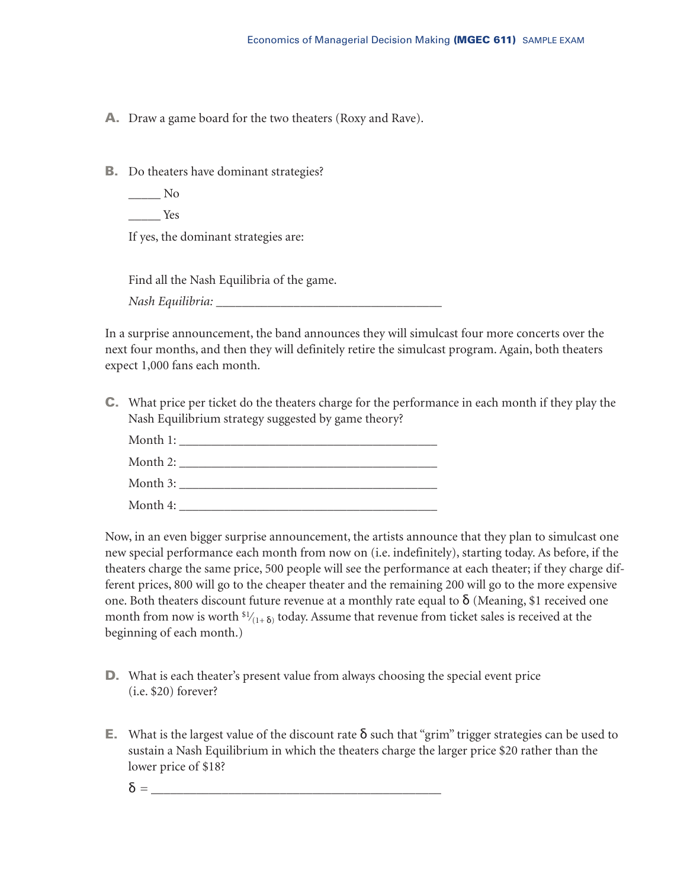**A.** Draw a game board for the two theaters (Roxy and Rave).

**B.** Do theaters have dominant strategies?

- $\_\_$  No
- \_\_\_\_\_ Yes

If yes, the dominant strategies are:

Find all the Nash Equilibria of the game.

*Nash Equilibria:* \_\_\_\_\_\_\_\_\_\_\_\_\_\_\_\_\_\_\_\_\_\_\_\_\_\_\_\_\_\_\_\_\_\_\_

In a surprise announcement, the band announces they will simulcast four more concerts over the next four months, and then they will definitely retire the simulcast program. Again, both theaters expect 1,000 fans each month.

**C.** What price per ticket do the theaters charge for the performance in each month if they play the Nash Equilibrium strategy suggested by game theory?

Month 1: \_\_\_\_\_\_\_\_\_\_\_\_\_\_\_\_\_\_\_\_\_\_\_\_\_\_\_\_\_\_\_\_\_\_\_\_\_\_\_\_  $\mathbf{Month}$  2:  $\mathbf{Month}$  3:  $\mathbf{Month} \, 4$ :

Now, in an even bigger surprise announcement, the artists announce that they plan to simulcast one new special performance each month from now on (i.e. indefinitely), starting today. As before, if the theaters charge the same price, 500 people will see the performance at each theater; if they charge different prices, 800 will go to the cheaper theater and the remaining 200 will go to the more expensive one. Both theaters discount future revenue at a monthly rate equal to  $\delta$  (Meaning, \$1 received one month from now is worth  $\frac{s_1}{(1+\delta)}$  today. Assume that revenue from ticket sales is received at the beginning of each month.)

- **D.** What is each theater's present value from always choosing the special event price (i.e. \$20) forever?
- **E.** What is the largest value of the discount rate δ such that "grim" trigger strategies can be used to sustain a Nash Equilibrium in which the theaters charge the larger price \$20 rather than the lower price of \$18?
	- $\delta =$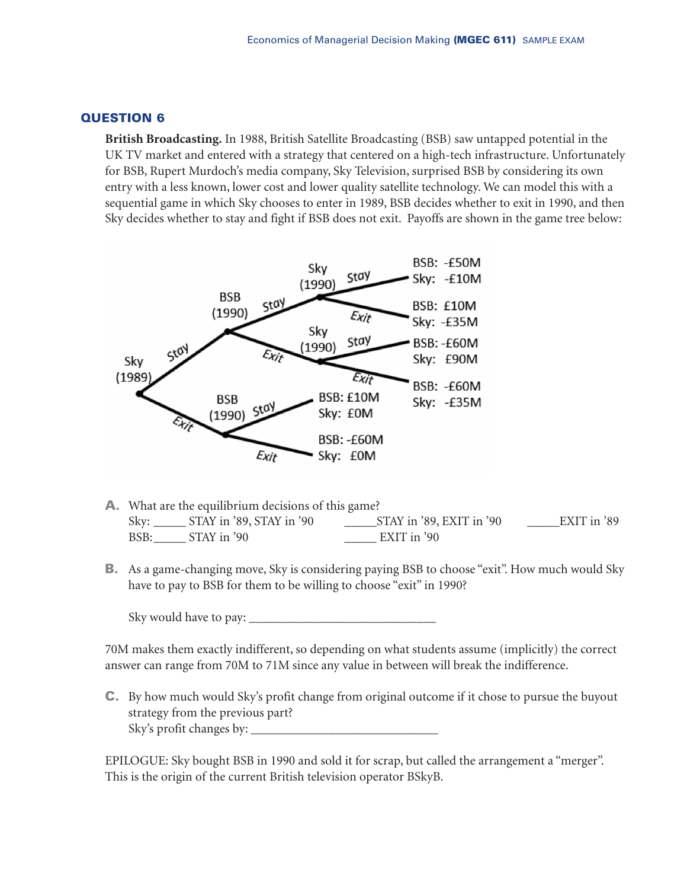**British Broadcasting.** In 1988, British Satellite Broadcasting (BSB) saw untapped potential in the UK TV market and entered with a strategy that centered on a high-tech infrastructure. Unfortunately for BSB, Rupert Murdoch's media company, Sky Television, surprised BSB by considering its own entry with a less known, lower cost and lower quality satellite technology. We can model this with a sequential game in which Sky chooses to enter in 1989, BSB decides whether to exit in 1990, and then Sky decides whether to stay and fight if BSB does not exit. Payoffs are shown in the game tree below:



- **A.** What are the equilibrium decisions of this game? Sky: \_\_\_\_\_ STAY in '89, STAY in '90 \_\_\_\_\_STAY in '89, EXIT in '90 \_\_\_\_\_EXIT in '89 BSB: STAY in '90 EXIT in '90
- **B.** As a game-changing move, Sky is considering paying BSB to choose "exit". How much would Sky have to pay to BSB for them to be willing to choose "exit" in 1990?

Sky would have to pay:

70M makes them exactly indifferent, so depending on what students assume (implicitly) the correct answer can range from 70M to 71M since any value in between will break the indifference.

**C.** By how much would Sky's profit change from original outcome if it chose to pursue the buyout strategy from the previous part? Sky's profit changes by:  $\_\_$ 

EPILOGUE: Sky bought BSB in 1990 and sold it for scrap, but called the arrangement a "merger". This is the origin of the current British television operator BSkyB.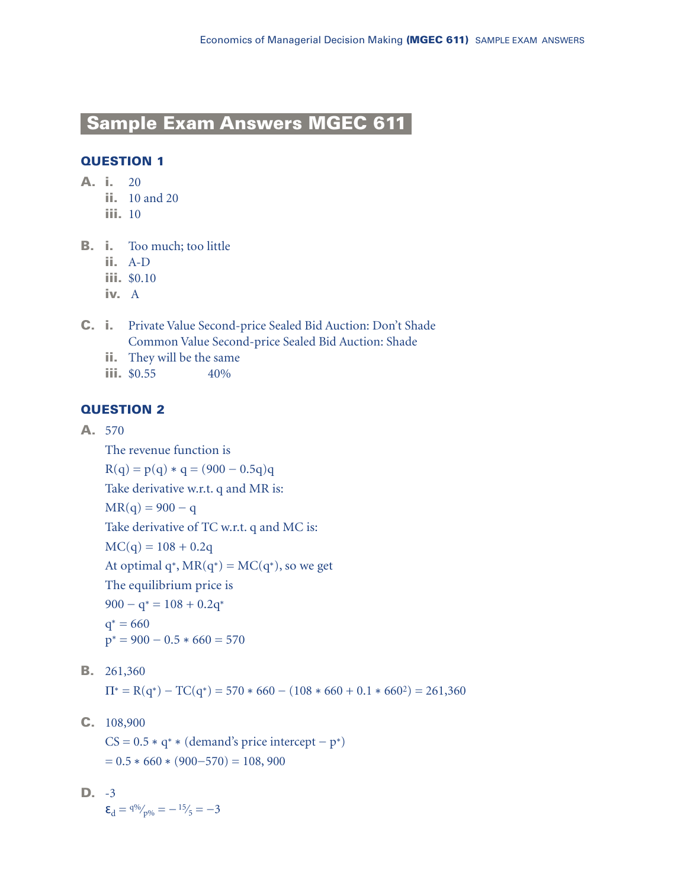# **Sample Exam Answers MGEC 611**

## **QUESTION 1**

- **A. i.** 20
	- **ii.** 10 and 20
	- **iii.** 10
- **B. i.** Too much; too little
	- **ii.** A-D
	- **iii.** \$0.10
	- **iv.** A
- **C. i.** Private Value Second-price Sealed Bid Auction: Don't Shade Common Value Second-price Sealed Bid Auction: Shade
	- **ii.** They will be the same
	- **iii.** \$0.55 40%

### **QUESTION 2**

**A.** 570

The revenue function is

 $R(q) = p(q) * q = (900 - 0.5q)q$ 

Take derivative w.r.t. q and MR is:

$$
MR(q) = 900 - q
$$

Take derivative of TC w.r.t. q and MC is:

 $MC(q) = 108 + 0.2q$ 

At optimal q<sup>∗</sup>, MR(q<sup>∗</sup>) = MC(q<sup>∗</sup>), so we get

The equilibrium price is

 $900 - q^* = 108 + 0.2q^*$ 

 $q* = 660$  $p* = 900 - 0.5 * 660 = 570$ 

**B.** 261,360

 $\Pi^* = R(q^*) - TC(q^*) = 570 * 660 - (108 * 660 + 0.1 * 660^2) = 261,360$ 

**C.** 108,900

 $CS = 0.5 * q^* * (demand's price intercept - p^*)$  $= 0.5 * 660 * (900 - 570) = 108,900$ 

**D.** -3  $\mathbf{\epsilon}_{d} = 4\% \gamma_{p\%} = -15\% = -3$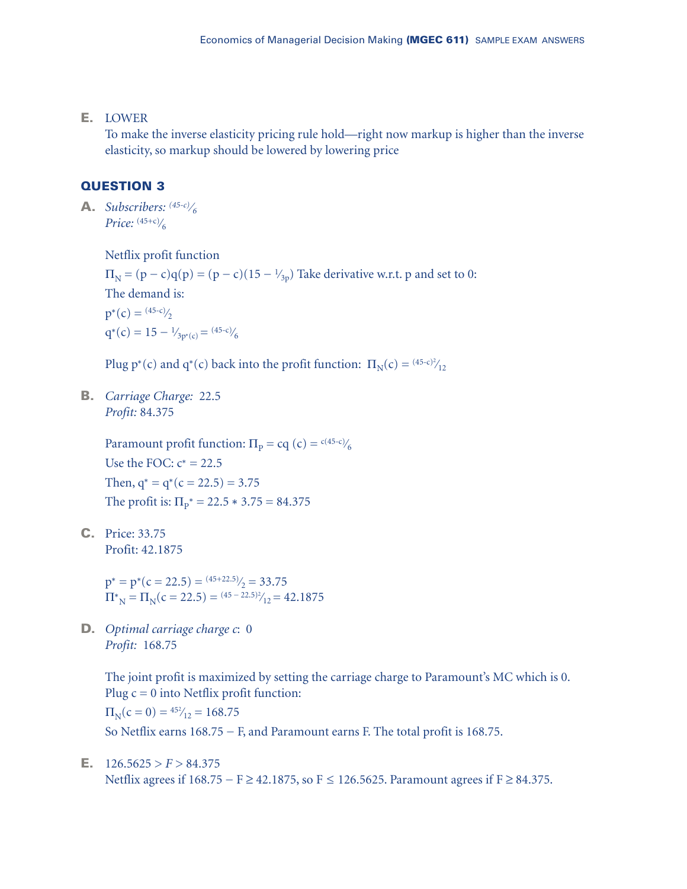**E.** LOWER

To make the inverse elasticity pricing rule hold—right now markup is higher than the inverse elasticity, so markup should be lowered by lowering price

## **QUESTION 3**

**A.** *Subscribers: (45-c)⁄6 Price:* (45+c)⁄ 6

Netflix profit function

 $\Pi_{\rm N} = (p - c)q(p) = (p - c)(15 - \frac{1}{2p})$  Take derivative w.r.t. p and set to 0: The demand is:  $p^*(c) = \frac{(45-c)}{2}$ 

 $q^*(c) = 15 - \frac{1}{3p^*(c)} = \frac{(45-c)}{6}$ 

Plug p<sup>∗</sup>(c) and q<sup>∗</sup>(c) back into the profit function:  $\Pi_N(c) = \frac{(45-c)^2}{12}$ ⁄

**B.** *Carriage Charge:* 22.5 *Profit:* 84.375

> Paramount profit function:  $\Pi_{\rm p} = c q$  (c) = <sup>c(45-c)</sup>/<sub>6</sub> Use the FOC:  $c^* = 22.5$ Then,  $q^* = q^*(c = 22.5) = 3.75$ The profit is:  $\Pi_{p}^* = 22.5 * 3.75 = 84.375$

**C.** Price: 33.75 Profit: 42.1875

> $p^* = p^*(c = 22.5) = \frac{(45 + 22.5)}{2} = 33.75$  $\Pi_{\text{N}}^* = \Pi_{\text{N}}(c = 22.5) = \frac{(45 - 22.5)^2}{12} = 42.1875$ ⁄

**D.** *Optimal carriage charge c*: 0 *Profit:* 168.75

> The joint profit is maximized by setting the carriage charge to Paramount's MC which is 0. Plug  $c = 0$  into Netflix profit function:

 $\Pi_{\text{N}}(c=0) = \frac{452}{12} = 168.75$ ⁄

So Netflix earns 168.75 − F, and Paramount earns F. The total profit is 168.75.

#### **E.**  $126.5625 > F > 84.375$

Netflix agrees if 168.75 – F ≥ 42.1875, so F ≤ 126.5625. Paramount agrees if F ≥ 84.375.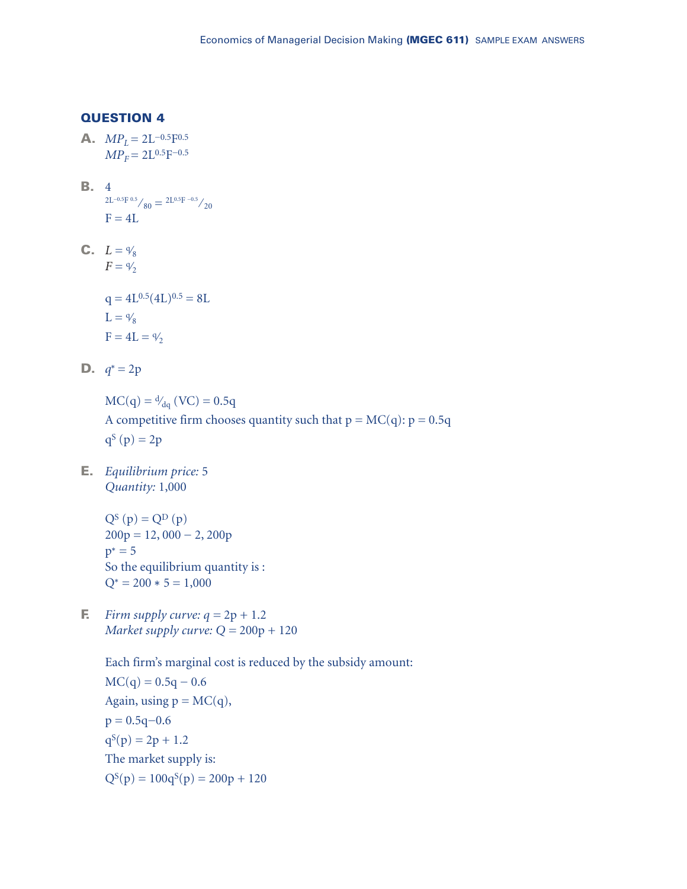**A.**  $MP_L = 2L^{-0.5}F^{0.5}$  $MP_F = 2L^{0.5}F^{-0.5}$ 

- **B.** 4  $2L^{-0.5}F^{0.5}/80 = 2L^{0.5}F^{-0.5}/20$  $F = 4L$
- **C.**  $L = \frac{4}{8}$  $F = \frac{9}{2}$

$$
q = 4L^{0.5} (4L)^{0.5} = 8L
$$
  
L =  $\frac{q}{8}$   
F = 4L =  $\frac{q}{2}$ 

**D.**  $q^* = 2p$ 

 $MC(q) = \frac{d}{dq} (VC) = 0.5q$ A competitive firm chooses quantity such that  $p = MC(q)$ :  $p = 0.5q$  $q^{S}(p) = 2p$ 

**E.** *Equilibrium price:* 5 *Quantity:* 1,000

> $Q^{S}(p) = Q^{D}(p)$  $200p = 12,000 - 2,200p$  $p^* = 5$ So the equilibrium quantity is :  $Q^* = 200 * 5 = 1,000$

**F.** *Firm supply curve:*  $q = 2p + 1.2$ *Market supply curve: Q =* 200p + 120

> Each firm's marginal cost is reduced by the subsidy amount:  $MC(q) = 0.5q - 0.6$ Again, using  $p = MC(q)$ ,  $p = 0.5q - 0.6$  $q^{S}(p) = 2p + 1.2$ The market supply is:  $Q^{S}(p) = 100q^{S}(p) = 200p + 120$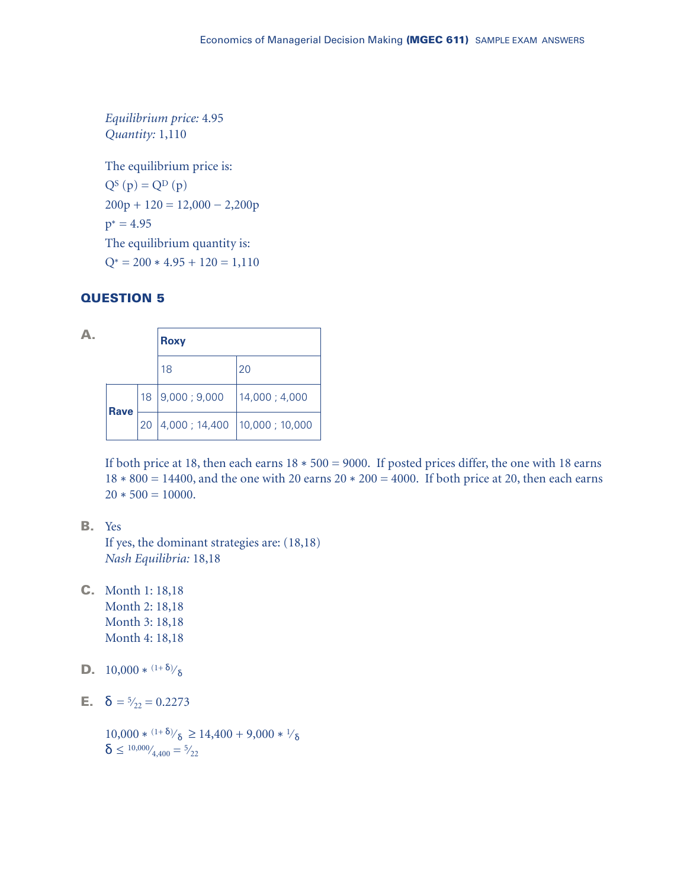*Equilibrium price:* 4.95 *Quantity:* 1,110

The equilibrium price is:  $Q^{S}(p) = Q^{D}(p)$  $200p + 120 = 12{,}000 - 2{,}200p$  $p^* = 4.95$ The equilibrium quantity is:  $Q^* = 200 * 4.95 + 120 = 1,110$ 

### **QUESTION 5**

|  |             |    | <b>Roxy</b>    |                |  |
|--|-------------|----|----------------|----------------|--|
|  |             |    | 18             | 20             |  |
|  | <b>Rave</b> | 18 | 9,000; 9,000   | 14,000 ; 4,000 |  |
|  |             | 20 | 4,000 ; 14,400 | 10,000;10,000  |  |

If both price at 18, then each earns 18 ∗ 500 = 9000. If posted prices differ, the one with 18 earns 18 ∗ 800 = 14400, and the one with 20 earns 20 ∗ 200 = 4000. If both price at 20, then each earns  $20 * 500 = 10000.$ 

**B.** Yes

If yes, the dominant strategies are: (18,18) *Nash Equilibria:* 18,18

- **C.** Month 1: 18,18 Month 2: 18,18 Month 3: 18,18 Month 4: 18,18
- **D.**  $10,000 * (1+δ)/δ$
- **E.**  $\delta = \frac{5}{22} = 0.2273$

10,000 \* <sup>(1+δ)</sup>/<sub>δ</sub> ≥ 14,400 + 9,000 \* <sup>1</sup>/<sub>δ</sub>  $\boldsymbol{\delta} \leq {}^{10,000}\!/_{\!4,400} = {}^{5}\!/_{22}$